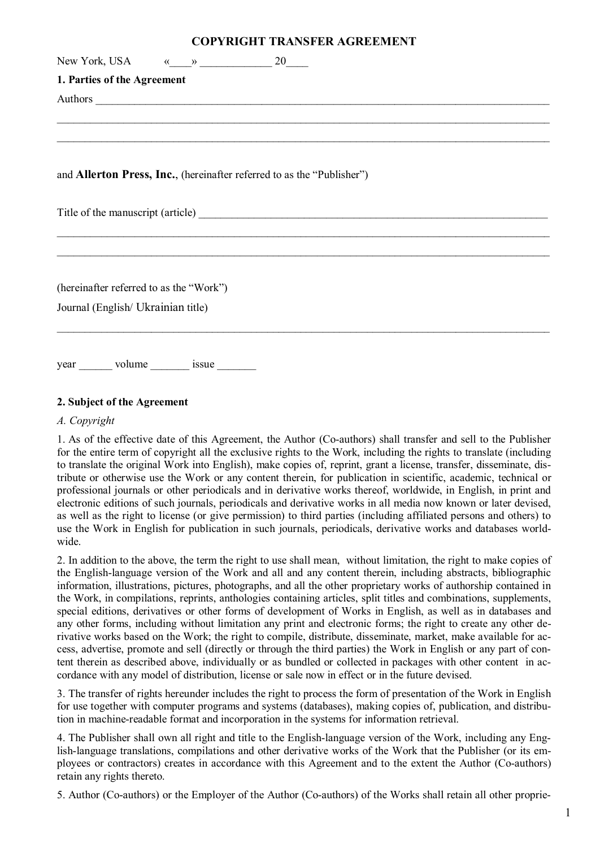## **COPYRIGHT TRANSFER AGREEMENT**

| New York, USA $\qquad \qquad \times \qquad \qquad \rightarrow$ 20                                                                                                                                                              |
|--------------------------------------------------------------------------------------------------------------------------------------------------------------------------------------------------------------------------------|
| 1. Parties of the Agreement                                                                                                                                                                                                    |
| Authors experience and the contract of the contract of the contract of the contract of the contract of the contract of the contract of the contract of the contract of the contract of the contract of the contract of the con |
|                                                                                                                                                                                                                                |
|                                                                                                                                                                                                                                |
|                                                                                                                                                                                                                                |
| and Allerton Press, Inc., (hereinafter referred to as the "Publisher")                                                                                                                                                         |
|                                                                                                                                                                                                                                |
|                                                                                                                                                                                                                                |
| (hereinafter referred to as the "Work")                                                                                                                                                                                        |
| Journal (English/ Ukrainian title)                                                                                                                                                                                             |
| year _________ volume _________ issue _________                                                                                                                                                                                |

## **2. Subject of the Agreement**

#### *A. Copyright*

1. As of the effective date of this Agreement, the Author (Co-authors) shall transfer and sell to the Publisher for the entire term of copyright all the exclusive rights to the Work, including the rights to translate (including to translate the original Work into English), make copies of, reprint, grant a license, transfer, disseminate, distribute or otherwise use the Work or any content therein, for publication in scientific, academic, technical or professional journals or other periodicals and in derivative works thereof, worldwide, in English, in print and electronic editions of such journals, periodicals and derivative works in all media now known or later devised, as well as the right to license (or give permission) to third parties (including affiliated persons and others) to use the Work in English for publication in such journals, periodicals, derivative works and databases worldwide.

2. In addition to the above, the term the right to use shall mean, without limitation, the right to make copies of the English-language version of the Work and all and any content therein, including abstracts, bibliographic information, illustrations, pictures, photographs, and all the other proprietary works of authorship contained in the Work, in compilations, reprints, anthologies containing articles, split titles and combinations, supplements, special editions, derivatives or other forms of development of Works in English, as well as in databases and any other forms, including without limitation any print and electronic forms; the right to create any other derivative works based on the Work; the right to compile, distribute, disseminate, market, make available for access, advertise, promote and sell (directly or through the third parties) the Work in English or any part of content therein as described above, individually or as bundled or collected in packages with other content in accordance with any model of distribution, license or sale now in effect or in the future devised.

3. The transfer of rights hereunder includes the right to process the form of presentation of the Work in English for use together with computer programs and systems (databases), making copies of, publication, and distribution in machine-readable format and incorporation in the systems for information retrieval.

4. The Publisher shall own all right and title to the English-language version of the Work, including any English-language translations, compilations and other derivative works of the Work that the Publisher (or its employees or contractors) creates in accordance with this Agreement and to the extent the Author (Co-authors) retain any rights thereto.

5. Author (Co-authors) or the Employer of the Author (Co-authors) of the Works shall retain all other proprie-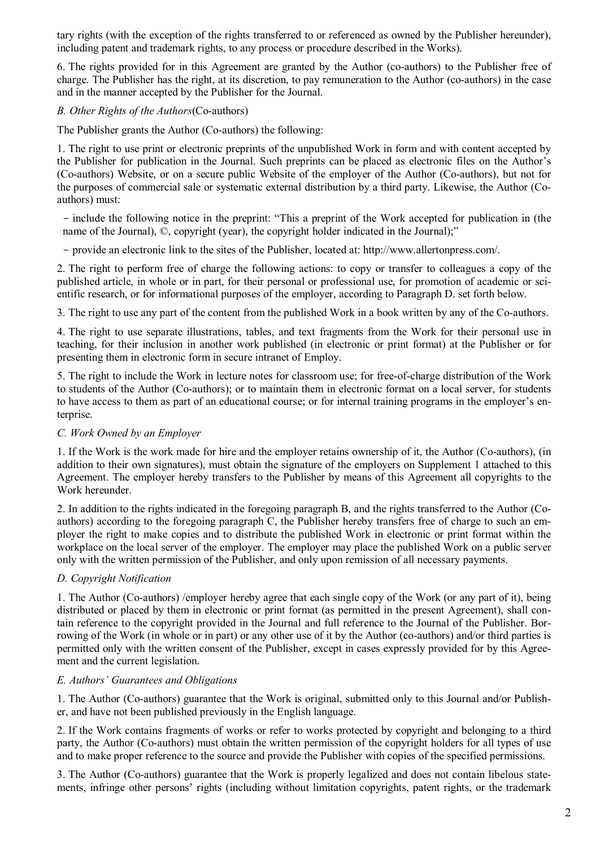tary rights (with the exception of the rights transferred to or referenced as owned by the Publisher hereunder), including patent and trademark rights, to any process or procedure described in the Works).

6. The rights provided for in this Agreement are granted by the Author (co-authors) to the Publisher free of charge. The Publisher has the right, at its discretion, to pay remuneration to the Author (co-authors) in the case and in the manner accepted by the Publisher for the Journal.

#### *B. Other Rights of the Authors*(Co-authors)

The Publisher grants the Author (Co-authors) the following:

1. The right to use print or electronic preprints of the unpublished Work in form and with content accepted by the Publisher for publication in the Journal. Such preprints can be placed as electronic files on the Author's (Co-authors) Website, or on a secure public Website of the employer of the Author (Co-authors), but not for the purposes of commercial sale or systematic external distribution by a third party. Likewise, the Author (Coauthors) must:

- include the following notice in the preprint: "This a preprint of the Work accepted for publication in (the name of the Journal), ©, copyright (year), the copyright holder indicated in the Journal);"

- provide an electronic link to the sites of the Publisher, located at: http://www.allertonpress.com/.

2. The right to perform free of charge the following actions: to copy or transfer to colleagues a copy of the published article, in whole or in part, for their personal or professional use, for promotion of academic or scientific research, or for informational purposes of the employer, according to Paragraph D. set forth below.

3. The right to use any part of the content from the published Work in a book written by any of the Co-authors.

4. The right to use separate illustrations, tables, and text fragments from the Work for their personal use in teaching, for their inclusion in another work published (in electronic or print format) at the Publisher or for presenting them in electronic form in secure intranet of Employ.

5. The right to include the Work in lecture notes for classroom use; for free-of-charge distribution of the Work to students of the Author (Co-authors); or to maintain them in electronic format on a local server, for students to have access to them as part of an educational course; or for internal training programs in the employer's enterprise.

## *C. Work Owned by an Employer*

1. If the Work is the work made for hire and the employer retains ownership of it, the Author (Co-authors), (in addition to their own signatures), must obtain the signature of the employers on Supplement 1 attached to this Agreement. The employer hereby transfers to the Publisher by means of this Agreement all copyrights to the Work hereunder.

2. In addition to the rights indicated in the foregoing paragraph B, and the rights transferred to the Author (Coauthors) according to the foregoing paragraph C, the Publisher hereby transfers free of charge to such an employer the right to make copies and to distribute the published Work in electronic or print format within the workplace on the local server of the employer. The employer may place the published Work on a public server only with the written permission of the Publisher, and only upon remission of all necessary payments.

## *D. Copyright Notification*

1. The Author (Co-authors) /employer hereby agree that each single copy of the Work (or any part of it), being distributed or placed by them in electronic or print format (as permitted in the present Agreement), shall contain reference to the copyright provided in the Journal and full reference to the Journal of the Publisher. Borrowing of the Work (in whole or in part) or any other use of it by the Author (co-authors) and/or third parties is permitted only with the written consent of the Publisher, except in cases expressly provided for by this Agreement and the current legislation.

#### *E. Authors' Guarantees and Obligations*

1. The Author (Co-authors) guarantee that the Work is original, submitted only to this Journal and/or Publisher, and have not been published previously in the English language.

2. If the Work contains fragments of works or refer to works protected by copyright and belonging to a third party, the Author (Co-authors) must obtain the written permission of the copyright holders for all types of use and to make proper reference to the source and provide the Publisher with copies of the specified permissions.

3. The Author (Co-authors) guarantee that the Work is properly legalized and does not contain libelous statements, infringe other persons' rights (including without limitation copyrights, patent rights, or the trademark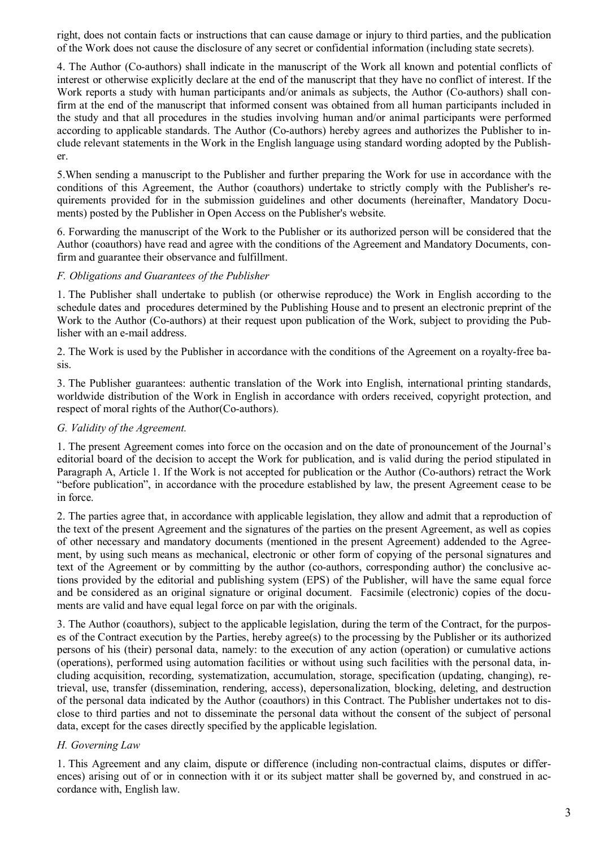right, does not contain facts or instructions that can cause damage or injury to third parties, and the publication of the Work does not cause the disclosure of any secret or confidential information (including state secrets).

4. The Author (Co-authors) shall indicate in the manuscript of the Work all known and potential conflicts of interest or otherwise explicitly declare at the end of the manuscript that they have no conflict of interest. If the Work reports a study with human participants and/or animals as subjects, the Author (Co-authors) shall confirm at the end of the manuscript that informed consent was obtained from all human participants included in the study and that all procedures in the studies involving human and/or animal participants were performed according to applicable standards. The Author (Co-authors) hereby agrees and authorizes the Publisher to include relevant statements in the Work in the English language using standard wording adopted by the Publisher.

5.When sending a manuscript to the Publisher and further preparing the Work for use in accordance with the conditions of this Agreement, the Author (coauthors) undertake to strictly comply with the Publisher's requirements provided for in the submission guidelines and other documents (hereinafter, Mandatory Documents) posted by the Publisher in Open Access on the Publisher's website.

6. Forwarding the manuscript of the Work to the Publisher or its authorized person will be considered that the Author (coauthors) have read and agree with the conditions of the Agreement and Mandatory Documents, confirm and guarantee their observance and fulfillment.

#### *F. Obligations and Guarantees of the Publisher*

1. The Publisher shall undertake to publish (or otherwise reproduce) the Work in English according to the schedule dates and procedures determined by the Publishing House and to present an electronic preprint of the Work to the Author (Co-authors) at their request upon publication of the Work, subject to providing the Publisher with an e-mail address.

2. The Work is used by the Publisher in accordance with the conditions of the Agreement on a royalty-free basis.

3. The Publisher guarantees: authentic translation of the Work into English, international printing standards, worldwide distribution of the Work in English in accordance with orders received, copyright protection, and respect of moral rights of the Author(Co-authors).

### *G. Validity of the Agreement.*

1. The present Agreement comes into force on the occasion and on the date of pronouncement of the Journal's editorial board of the decision to accept the Work for publication, and is valid during the period stipulated in Paragraph A, Article 1. If the Work is not accepted for publication or the Author (Co-authors) retract the Work "before publication", in accordance with the procedure established by law, the present Agreement cease to be in force.

2. The parties agree that, in accordance with applicable legislation, they allow and admit that a reproduction of the text of the present Agreement and the signatures of the parties on the present Agreement, as well as copies of other necessary and mandatory documents (mentioned in the present Agreement) addended to the Agreement, by using such means as mechanical, electronic or other form of copying of the personal signatures and text of the Agreement or by committing by the author (co-authors, corresponding author) the conclusive actions provided by the editorial and publishing system (EPS) of the Publisher, will have the same equal force and be considered as an original signature or original document. Facsimile (electronic) copies of the documents are valid and have equal legal force on par with the originals.

3. The Author (coauthors), subject to the applicable legislation, during the term of the Contract, for the purposes of the Contract execution by the Parties, hereby agree(s) to the processing by the Publisher or its authorized persons of his (their) personal data, namely: to the execution of any action (operation) or cumulative actions (operations), performed using automation facilities or without using such facilities with the personal data, including acquisition, recording, systematization, accumulation, storage, specification (updating, changing), retrieval, use, transfer (dissemination, rendering, access), depersonalization, blocking, deleting, and destruction of the personal data indicated by the Author (coauthors) in this Contract. The Publisher undertakes not to disclose to third parties and not to disseminate the personal data without the consent of the subject of personal data, except for the cases directly specified by the applicable legislation.

## *H. Governing Law*

1. This Agreement and any claim, dispute or difference (including non-contractual claims, disputes or differences) arising out of or in connection with it or its subject matter shall be governed by, and construed in accordance with, English law.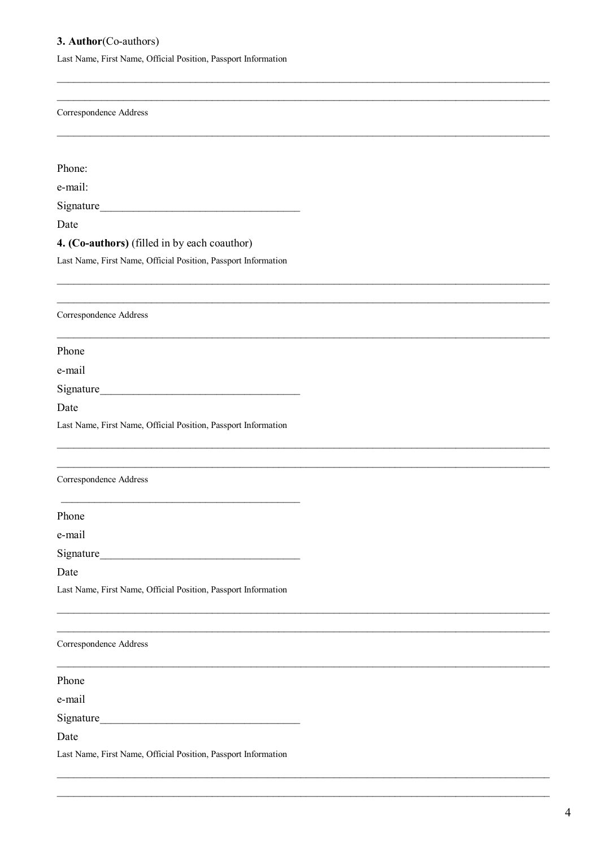# 3. Author(Co-authors)

Last Name, First Name, Official Position, Passport Information

| Correspondence Address                                         |  |
|----------------------------------------------------------------|--|
|                                                                |  |
| Phone:                                                         |  |
| e-mail:                                                        |  |
|                                                                |  |
| Date                                                           |  |
| 4. (Co-authors) (filled in by each coauthor)                   |  |
| Last Name, First Name, Official Position, Passport Information |  |
| Correspondence Address                                         |  |
| Phone                                                          |  |
| e-mail                                                         |  |
|                                                                |  |
| Date                                                           |  |
| Last Name, First Name, Official Position, Passport Information |  |
|                                                                |  |
| Correspondence Address                                         |  |
| Phone                                                          |  |
| e-mail                                                         |  |
|                                                                |  |
| Date                                                           |  |
| Last Name, First Name, Official Position, Passport Information |  |
|                                                                |  |
| Correspondence Address                                         |  |
| Phone                                                          |  |
| e-mail                                                         |  |
|                                                                |  |
| Date                                                           |  |
| Last Name, First Name, Official Position, Passport Information |  |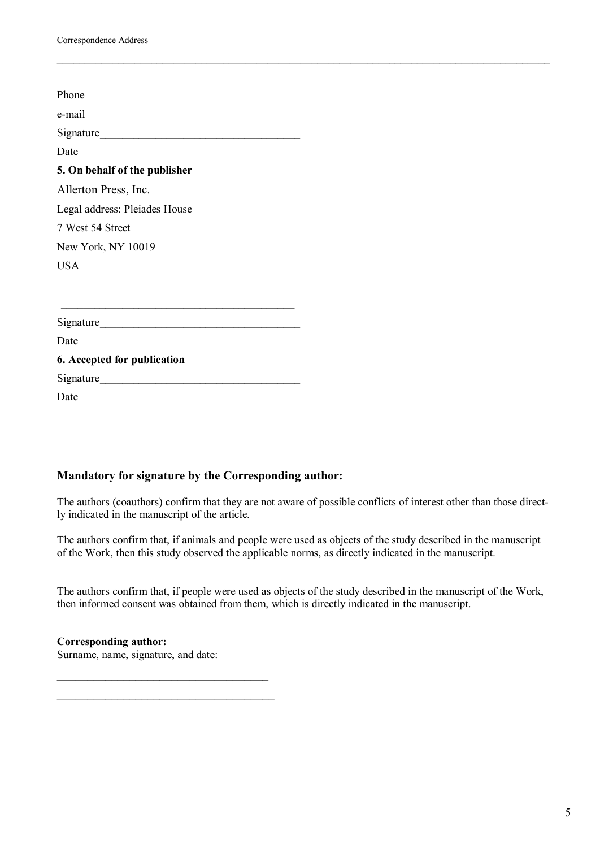| Phone                         |
|-------------------------------|
| e-mail                        |
| Signature                     |
| Date                          |
| 5. On behalf of the publisher |
| Allerton Press, Inc.          |
| Legal address: Pleiades House |
| 7 West 54 Street              |
| New York, NY 10019            |
| <b>USA</b>                    |
|                               |
|                               |
|                               |
| Date                          |
| 6. Accepted for publication   |
| Signature                     |

Date

## **Mandatory for signature by the Corresponding author:**

The authors (coauthors) confirm that they are not aware of possible conflicts of interest other than those directly indicated in the manuscript of the article.

\_\_\_\_\_\_\_\_\_\_\_\_\_\_\_\_\_\_\_\_\_\_\_\_\_\_\_\_\_\_\_\_\_\_\_\_\_\_\_\_\_\_\_\_\_\_\_\_\_\_\_\_\_\_\_\_\_\_\_\_\_\_\_\_\_\_\_\_\_\_\_\_\_\_\_\_\_\_\_\_\_\_\_\_\_\_\_\_\_

The authors confirm that, if animals and people were used as objects of the study described in the manuscript of the Work, then this study observed the applicable norms, as directly indicated in the manuscript.

The authors confirm that, if people were used as objects of the study described in the manuscript of the Work, then informed consent was obtained from them, which is directly indicated in the manuscript.

## **Corresponding author:**

Surname, name, signature, and date:

 $\mathcal{L}$  , and the set of the set of the set of the set of the set of the set of the set of the set of the set of the set of the set of the set of the set of the set of the set of the set of the set of the set of the set

 $\overline{\phantom{a}}$  , and the set of the set of the set of the set of the set of the set of the set of the set of the set of the set of the set of the set of the set of the set of the set of the set of the set of the set of the s

5